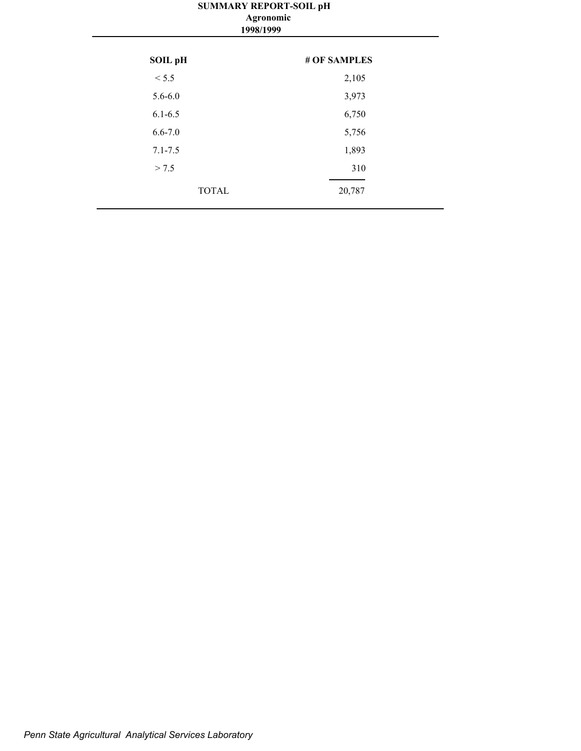## **SUMMARY REPORT-SOIL pH 1998/1999 Agronomic**

| SOIL pH      | # OF SAMPLES |
|--------------|--------------|
| < 5.5        | 2,105        |
| $5.6 - 6.0$  | 3,973        |
| $6.1 - 6.5$  | 6,750        |
| $6.6 - 7.0$  | 5,756        |
| $7.1 - 7.5$  | 1,893        |
| > 7.5        | 310          |
| <b>TOTAL</b> | 20,787       |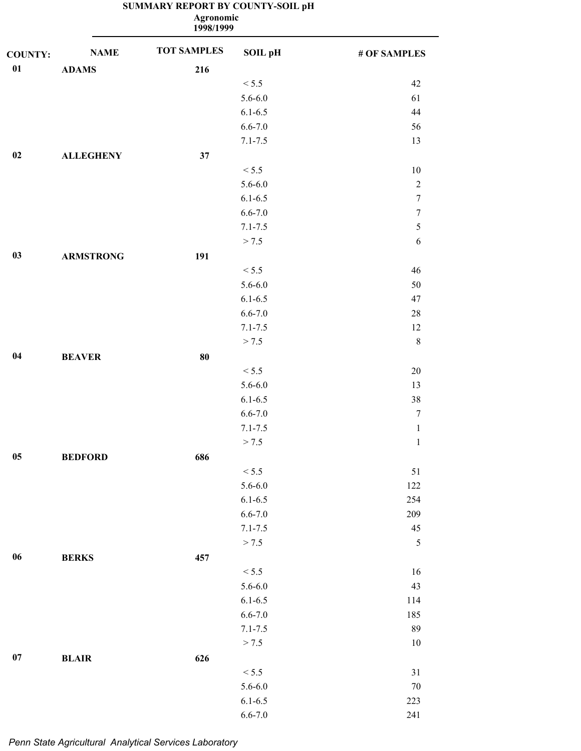|                |                  | <b>Agronomic</b><br>1998/1999 |             |                  |
|----------------|------------------|-------------------------------|-------------|------------------|
| <b>COUNTY:</b> | <b>NAME</b>      | <b>TOT SAMPLES</b>            | SOIL pH     | # OF SAMPLES     |
| 01             | <b>ADAMS</b>     | 216                           |             |                  |
|                |                  |                               | < 5.5       | 42               |
|                |                  |                               | $5.6 - 6.0$ | 61               |
|                |                  |                               | $6.1 - 6.5$ | 44               |
|                |                  |                               | $6.6 - 7.0$ | 56               |
|                |                  |                               | $7.1 - 7.5$ | 13               |
| 02             | <b>ALLEGHENY</b> | 37                            |             |                  |
|                |                  |                               | < 5.5       | 10               |
|                |                  |                               | $5.6 - 6.0$ | $\sqrt{2}$       |
|                |                  |                               | $6.1 - 6.5$ | $\boldsymbol{7}$ |
|                |                  |                               | $6.6 - 7.0$ | $\boldsymbol{7}$ |
|                |                  |                               | $7.1 - 7.5$ | $\mathfrak s$    |
|                |                  |                               | > 7.5       | 6                |
| 03             | <b>ARMSTRONG</b> | 191                           |             |                  |
|                |                  |                               | < 5.5       | 46               |
|                |                  |                               | $5.6 - 6.0$ | 50               |
|                |                  |                               | $6.1 - 6.5$ | 47               |
|                |                  |                               | $6.6 - 7.0$ | $28\,$           |
|                |                  |                               | $7.1 - 7.5$ | 12               |
|                |                  |                               | > 7.5       | $\,8\,$          |
| 04             | <b>BEAVER</b>    | 80                            |             |                  |
|                |                  |                               | < 5.5       | $20\,$           |
|                |                  |                               | $5.6 - 6.0$ | 13               |
|                |                  |                               | $6.1 - 6.5$ | 38               |
|                |                  |                               | $6.6 - 7.0$ | $\boldsymbol{7}$ |
|                |                  |                               | $7.1 - 7.5$ | $\,1\,$          |
|                |                  |                               | > 7.5       | $\mathbf{1}$     |
| $05\,$         | <b>BEDFORD</b>   | 686                           |             |                  |
|                |                  |                               | < 5.5       | 51               |
|                |                  |                               | $5.6 - 6.0$ | 122              |
|                |                  |                               | $6.1 - 6.5$ | 254              |
|                |                  |                               | $6.6 - 7.0$ | 209              |
|                |                  |                               | $7.1 - 7.5$ | $45\,$           |
|                |                  |                               | > 7.5       | $\mathfrak s$    |
| $06\,$         | <b>BERKS</b>     | 457                           |             |                  |
|                |                  |                               | < 5.5       | 16               |
|                |                  |                               | $5.6 - 6.0$ | 43               |
|                |                  |                               | $6.1 - 6.5$ | 114              |
|                |                  |                               | $6.6 - 7.0$ | 185              |
|                |                  |                               | $7.1 - 7.5$ | 89               |
|                |                  |                               | > 7.5       | $10\,$           |
| 07             | <b>BLAIR</b>     | 626                           |             |                  |
|                |                  |                               | < 5.5       | $31\,$           |
|                |                  |                               | $5.6 - 6.0$ | $70\,$           |
|                |                  |                               | $6.1 - 6.5$ | 223              |
|                |                  |                               |             |                  |

6.6-7.0 241

## **SUMMARY REPORT BY COUNTY-SOIL pH**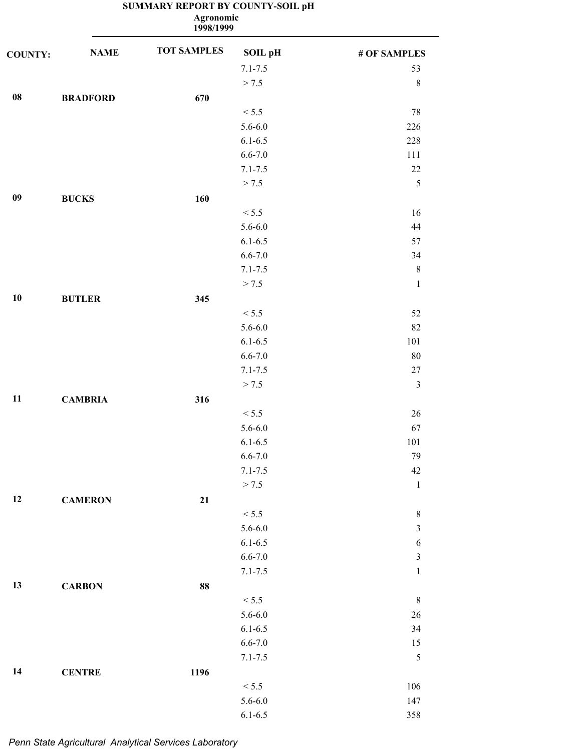|                | <b>Agronomic</b><br>1998/1999 |                    |                |                         |  |  |
|----------------|-------------------------------|--------------------|----------------|-------------------------|--|--|
| <b>COUNTY:</b> | <b>NAME</b>                   | <b>TOT SAMPLES</b> | <b>SOIL pH</b> | # OF SAMPLES            |  |  |
|                |                               |                    | $7.1 - 7.5$    | 53                      |  |  |
|                |                               |                    | > 7.5          | $8\,$                   |  |  |
| ${\bf 08}$     | <b>BRADFORD</b>               | 670                |                |                         |  |  |
|                |                               |                    | < 5.5          | 78                      |  |  |
|                |                               |                    | $5.6 - 6.0$    | 226                     |  |  |
|                |                               |                    | $6.1 - 6.5$    | 228                     |  |  |
|                |                               |                    | $6.6 - 7.0$    | 111                     |  |  |
|                |                               |                    | $7.1 - 7.5$    | $22\,$                  |  |  |
|                |                               |                    | > 7.5          | 5                       |  |  |
| 09             | <b>BUCKS</b>                  | 160                |                |                         |  |  |
|                |                               |                    | < 5.5          | 16                      |  |  |
|                |                               |                    | $5.6 - 6.0$    | 44                      |  |  |
|                |                               |                    | $6.1 - 6.5$    | 57                      |  |  |
|                |                               |                    | $6.6 - 7.0$    | 34                      |  |  |
|                |                               |                    | $7.1 - 7.5$    | $\,8\,$                 |  |  |
|                |                               |                    | > 7.5          | $\mathbf 1$             |  |  |
| 10             | <b>BUTLER</b>                 | 345                |                |                         |  |  |
|                |                               |                    | < 5.5          | 52                      |  |  |
|                |                               |                    | $5.6 - 6.0$    | 82                      |  |  |
|                |                               |                    | $6.1 - 6.5$    | 101                     |  |  |
|                |                               |                    | $6.6 - 7.0$    | $80\,$                  |  |  |
|                |                               |                    | $7.1 - 7.5$    | $27\,$                  |  |  |
|                |                               |                    | > 7.5          | $\mathfrak{Z}$          |  |  |
| 11             | <b>CAMBRIA</b>                | 316                |                |                         |  |  |
|                |                               |                    | < 5.5          | 26                      |  |  |
|                |                               |                    | $5.6 - 6.0$    | 67                      |  |  |
|                |                               |                    | $6.1 - 6.5$    | 101                     |  |  |
|                |                               |                    | $6.6 - 7.0$    | 79                      |  |  |
|                |                               |                    | $7.1 - 7.5$    | $42\,$                  |  |  |
|                |                               |                    | > 7.5          | $1\,$                   |  |  |
| 12             | <b>CAMERON</b>                | 21                 |                |                         |  |  |
|                |                               |                    | < 5.5          | $\,8\,$                 |  |  |
|                |                               |                    | $5.6 - 6.0$    | $\overline{\mathbf{3}}$ |  |  |
|                |                               |                    | $6.1 - 6.5$    | $\boldsymbol{6}$        |  |  |
|                |                               |                    |                | $\mathfrak{Z}$          |  |  |
|                |                               |                    | $6.6 - 7.0$    |                         |  |  |
|                |                               |                    | $7.1 - 7.5$    | $\,1$                   |  |  |
| 13             | <b>CARBON</b>                 | 88                 |                |                         |  |  |
|                |                               |                    | < 5.5          | $\,$ $\,$               |  |  |
|                |                               |                    | $5.6 - 6.0$    | $26\,$                  |  |  |
|                |                               |                    | $6.1 - 6.5$    | 34                      |  |  |
|                |                               |                    | $6.6 - 7.0$    | 15                      |  |  |
|                |                               |                    | $7.1 - 7.5$    | 5                       |  |  |
| 14             | <b>CENTRE</b>                 | 1196               |                |                         |  |  |
|                |                               |                    | < 5.5          | 106                     |  |  |
|                |                               |                    | $5.6 - 6.0$    | 147                     |  |  |
|                |                               |                    | $6.1 - 6.5$    | 358                     |  |  |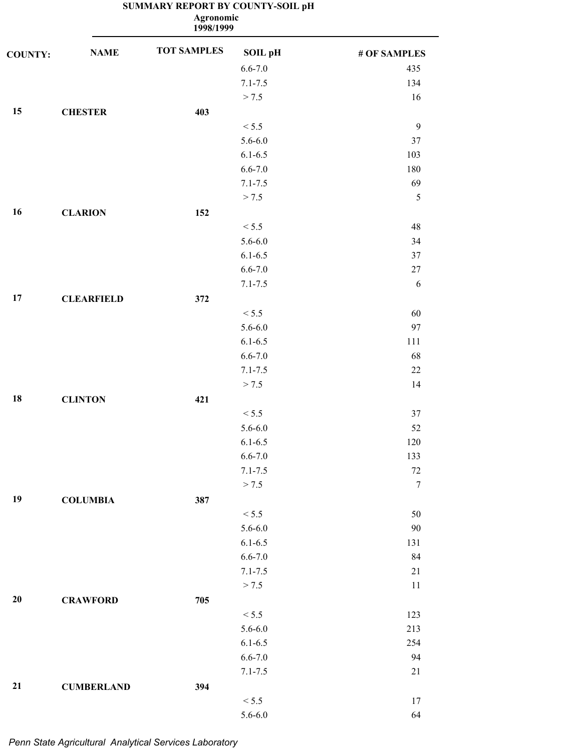|                |                   | Agronomic<br>1998/1999 |             |              |
|----------------|-------------------|------------------------|-------------|--------------|
| <b>COUNTY:</b> | <b>NAME</b>       | <b>TOT SAMPLES</b>     | SOIL pH     | # OF SAMPLES |
|                |                   |                        | $6.6 - 7.0$ | 435          |
|                |                   |                        | $7.1 - 7.5$ | 134          |
|                |                   |                        | > 7.5       | 16           |
| 15             | <b>CHESTER</b>    | 403                    |             |              |
|                |                   |                        | < 5.5       | 9            |
|                |                   |                        | $5.6 - 6.0$ | $37\,$       |
|                |                   |                        | $6.1 - 6.5$ | 103          |
|                |                   |                        | $6.6 - 7.0$ | 180          |
|                |                   |                        | $7.1 - 7.5$ | 69           |
|                |                   |                        | > 7.5       | $\sqrt{5}$   |
| 16             | <b>CLARION</b>    | 152                    |             |              |
|                |                   |                        | < 5.5       | 48           |
|                |                   |                        | $5.6 - 6.0$ | 34           |
|                |                   |                        | $6.1 - 6.5$ | $37\,$       |
|                |                   |                        | $6.6 - 7.0$ | $27\,$       |
|                |                   |                        | $7.1 - 7.5$ | 6            |
| 17             | <b>CLEARFIELD</b> | 372                    |             |              |
|                |                   |                        | < 5.5       | 60           |
|                |                   |                        | $5.6 - 6.0$ | 97           |
|                |                   |                        | $6.1 - 6.5$ | 111          |
|                |                   |                        | $6.6 - 7.0$ | 68           |
|                |                   |                        | $7.1 - 7.5$ | $22\,$       |
|                |                   |                        | > 7.5       | 14           |
| 18             |                   |                        |             |              |
|                | <b>CLINTON</b>    | 421                    |             |              |
|                |                   |                        | < 5.5       | 37           |
|                |                   |                        | $5.6 - 6.0$ | 52           |
|                |                   |                        | $6.1 - 6.5$ | 120          |
|                |                   |                        | $6.6 - 7.0$ | 133          |
|                |                   |                        | $7.1 - 7.5$ | $72\,$       |
|                |                   |                        | > 7.5       | $\tau$       |
| 19             | <b>COLUMBIA</b>   | 387                    |             |              |
|                |                   |                        | < 5.5       | $50\,$       |
|                |                   |                        | $5.6 - 6.0$ | $90\,$       |
|                |                   |                        | $6.1 - 6.5$ | 131          |
|                |                   |                        | $6.6 - 7.0$ | 84           |
|                |                   |                        | $7.1 - 7.5$ | 21           |
|                |                   |                        | > 7.5       | 11           |
| 20             | <b>CRAWFORD</b>   | 705                    |             |              |
|                |                   |                        | < 5.5       | 123          |
|                |                   |                        | $5.6 - 6.0$ | 213          |
|                |                   |                        | $6.1 - 6.5$ | 254          |
|                |                   |                        | $6.6 - 7.0$ | 94           |
|                |                   |                        | $7.1 - 7.5$ | 21           |
| 21             | <b>CUMBERLAND</b> | 394                    |             |              |
|                |                   |                        | $< 5.5$     | 17           |

5.6-6.0 64

#### **SUMMARY REPORT BY COUNTY-SOIL pH Agronomic**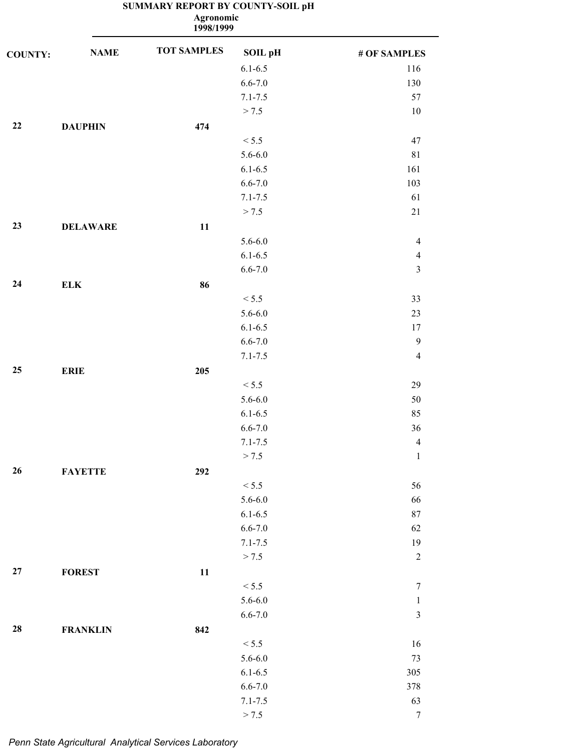**1998/1999 Agronomic**

| <b>COUNTY:</b> | <b>NAME</b>     | <b>TOT SAMPLES</b> | SOIL pH     | # OF SAMPLES   |
|----------------|-----------------|--------------------|-------------|----------------|
|                |                 |                    | $6.1 - 6.5$ | 116            |
|                |                 |                    | $6.6 - 7.0$ | 130            |
|                |                 |                    | $7.1 - 7.5$ | 57             |
|                |                 |                    | > 7.5       | $10\,$         |
| 22             | <b>DAUPHIN</b>  | 474                |             |                |
|                |                 |                    | < 5.5       | 47             |
|                |                 |                    | $5.6 - 6.0$ | 81             |
|                |                 |                    | $6.1 - 6.5$ | 161            |
|                |                 |                    | $6.6 - 7.0$ | 103            |
|                |                 |                    | $7.1 - 7.5$ | 61             |
|                |                 |                    | > 7.5       | $21\,$         |
| 23             | <b>DELAWARE</b> | 11                 |             |                |
|                |                 |                    | $5.6 - 6.0$ | $\overline{4}$ |
|                |                 |                    | $6.1 - 6.5$ | $\overline{4}$ |
|                |                 |                    | $6.6 - 7.0$ | $\mathfrak{Z}$ |
| 24             | <b>ELK</b>      | 86                 |             |                |
|                |                 |                    | < 5.5       | 33             |
|                |                 |                    | $5.6 - 6.0$ | 23             |
|                |                 |                    | $6.1 - 6.5$ | 17             |
|                |                 |                    | $6.6 - 7.0$ | $\overline{9}$ |
|                |                 |                    | $7.1 - 7.5$ | $\overline{4}$ |
| 25             | <b>ERIE</b>     | 205                |             |                |
|                |                 |                    | < 5.5       | 29             |
|                |                 |                    | $5.6 - 6.0$ | $50\,$         |
|                |                 |                    | $6.1 - 6.5$ | 85             |
|                |                 |                    | $6.6 - 7.0$ | 36             |
|                |                 |                    | $7.1 - 7.5$ | $\overline{4}$ |
|                |                 |                    | > 7.5       | $\mathbf{1}$   |
| 26             | <b>FAYETTE</b>  | 292                |             |                |
|                |                 |                    | < 5.5       | 56             |
|                |                 |                    | $5.6 - 6.0$ | 66             |
|                |                 |                    | $6.1 - 6.5$ | $87\,$         |
|                |                 |                    | $6.6 - 7.0$ | 62             |
|                |                 |                    | $7.1 - 7.5$ | 19             |
|                |                 |                    | > 7.5       | $\sqrt{2}$     |
| $\bf 27$       | <b>FOREST</b>   | 11                 |             |                |
|                |                 |                    | < 5.5       | 7              |
|                |                 |                    | $5.6 - 6.0$ | $\mathbf 1$    |
|                |                 |                    | $6.6 - 7.0$ | $\mathfrak{Z}$ |
| 28             | <b>FRANKLIN</b> | 842                |             |                |
|                |                 |                    | < 5.5       | 16             |
|                |                 |                    | $5.6 - 6.0$ | 73             |
|                |                 |                    | $6.1 - 6.5$ | 305            |
|                |                 |                    | $6.6 - 7.0$ | 378            |
|                |                 |                    | $7.1 - 7.5$ | 63             |
|                |                 |                    | > 7.5       | $\tau$         |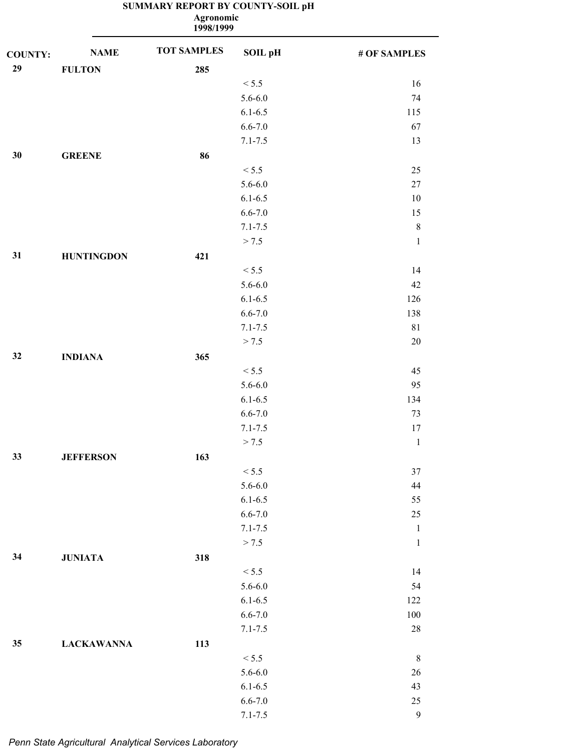|                |                   | <b>Agronomic</b><br>1998/1999 |             |              |
|----------------|-------------------|-------------------------------|-------------|--------------|
| <b>COUNTY:</b> | <b>NAME</b>       | <b>TOT SAMPLES</b>            | SOIL pH     | # OF SAMPLES |
| 29             | <b>FULTON</b>     | 285                           |             |              |
|                |                   |                               | < 5.5       | 16           |
|                |                   |                               | $5.6 - 6.0$ | 74           |
|                |                   |                               | $6.1 - 6.5$ | 115          |
|                |                   |                               | $6.6 - 7.0$ | 67           |
|                |                   |                               | $7.1 - 7.5$ | 13           |
| 30             | <b>GREENE</b>     | 86                            |             |              |
|                |                   |                               | < 5.5       | 25           |
|                |                   |                               | $5.6 - 6.0$ | $27\,$       |
|                |                   |                               | $6.1 - 6.5$ | 10           |
|                |                   |                               | $6.6 - 7.0$ | 15           |
|                |                   |                               | $7.1 - 7.5$ | $\,$ $\,$    |
|                |                   |                               | > 7.5       | $\,1\,$      |
| 31             | <b>HUNTINGDON</b> | 421                           |             |              |
|                |                   |                               | < 5.5       | 14           |
|                |                   |                               | $5.6 - 6.0$ | 42           |
|                |                   |                               | $6.1 - 6.5$ | 126          |
|                |                   |                               | $6.6 - 7.0$ | 138          |
|                |                   |                               | $7.1 - 7.5$ | 81           |
|                |                   |                               | > 7.5       | $20\,$       |
| 32             | <b>INDIANA</b>    | 365                           |             |              |
|                |                   |                               | < 5.5       | 45           |
|                |                   |                               | $5.6 - 6.0$ | 95           |
|                |                   |                               | $6.1 - 6.5$ | 134          |
|                |                   |                               | $6.6 - 7.0$ | 73           |
|                |                   |                               | $7.1 - 7.5$ | $17\,$       |
|                |                   |                               | > 7.5       | $\mathbf{1}$ |
| 33             | <b>JEFFERSON</b>  | 163                           |             |              |
|                |                   |                               | < 5.5       | 37           |
|                |                   |                               | $5.6 - 6.0$ | 44           |
|                |                   |                               | $6.1 - 6.5$ | 55           |
|                |                   |                               | $6.6 - 7.0$ | $25\,$       |
|                |                   |                               | $7.1 - 7.5$ | $\mathbf{1}$ |
|                |                   |                               | > 7.5       | $\,1\,$      |
| 34             | <b>JUNIATA</b>    | 318                           |             |              |
|                |                   |                               | < 5.5       | 14           |
|                |                   |                               | $5.6 - 6.0$ | 54           |
|                |                   |                               | $6.1 - 6.5$ | 122          |
|                |                   |                               | $6.6 - 7.0$ | $100\,$      |
|                |                   |                               |             | 28           |
| $35\,$         |                   |                               | $7.1 - 7.5$ |              |
|                | <b>LACKAWANNA</b> | 113                           | < 5.5       | $\,8\,$      |
|                |                   |                               |             |              |
|                |                   |                               | $5.6 - 6.0$ | $26\,$       |
|                |                   |                               | $6.1 - 6.5$ | 43           |
|                |                   |                               | $6.6 - 7.0$ | $25\,$       |

7.1-7.5 9

## **SUMMARY REPORT BY COUNTY-SOIL pH**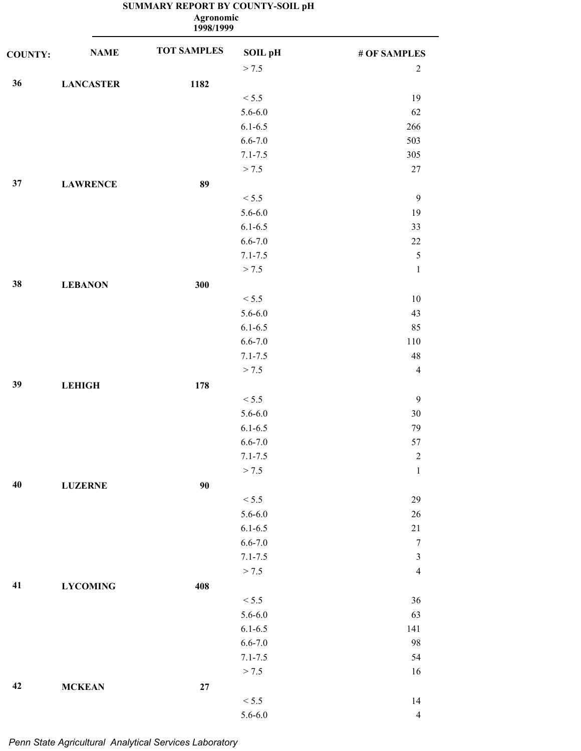|                |                  | Agronomic<br>1998/1999 |             |                |
|----------------|------------------|------------------------|-------------|----------------|
| <b>COUNTY:</b> | <b>NAME</b>      | <b>TOT SAMPLES</b>     | SOIL pH     | # OF SAMPLES   |
|                |                  |                        | > 7.5       | $\sqrt{2}$     |
| 36             | <b>LANCASTER</b> | 1182                   |             |                |
|                |                  |                        | < 5.5       | 19             |
|                |                  |                        | $5.6 - 6.0$ | 62             |
|                |                  |                        | $6.1 - 6.5$ | 266            |
|                |                  |                        | $6.6 - 7.0$ | 503            |
|                |                  |                        | $7.1 - 7.5$ | 305            |
|                |                  |                        | > 7.5       | $27\,$         |
| 37             | <b>LAWRENCE</b>  | 89                     |             |                |
|                |                  |                        | < 5.5       | 9              |
|                |                  |                        | $5.6 - 6.0$ | 19             |
|                |                  |                        | $6.1 - 6.5$ | 33             |
|                |                  |                        | $6.6 - 7.0$ | $22\,$         |
|                |                  |                        | $7.1 - 7.5$ | 5              |
|                |                  |                        | > 7.5       | $\mathbf 1$    |
| 38             | <b>LEBANON</b>   | 300                    |             |                |
|                |                  |                        | < 5.5       | $10\,$         |
|                |                  |                        | $5.6 - 6.0$ | 43             |
|                |                  |                        | $6.1 - 6.5$ | 85             |
|                |                  |                        | $6.6 - 7.0$ | 110            |
|                |                  |                        | $7.1 - 7.5$ | 48             |
|                |                  |                        | > 7.5       | $\overline{4}$ |
| 39             | <b>LEHIGH</b>    | 178                    |             |                |
|                |                  |                        | < 5.5       | $\overline{9}$ |
|                |                  |                        | $5.6 - 6.0$ | 30             |
|                |                  |                        | $6.1 - 6.5$ | 79             |
|                |                  |                        | $6.6 - 7.0$ | 57             |
|                |                  |                        | $7.1 - 7.5$ | $\sqrt{2}$     |
|                |                  |                        | > 7.5       | $\,1$          |
| 40             | <b>LUZERNE</b>   | 90                     |             |                |
|                |                  |                        | < 5.5       | 29             |
|                |                  |                        | $5.6 - 6.0$ | $26\,$         |
|                |                  |                        | $6.1 - 6.5$ | $21\,$         |
|                |                  |                        | $6.6 - 7.0$ | $\overline{7}$ |
|                |                  |                        | $7.1 - 7.5$ | $\mathfrak z$  |
|                |                  |                        | > 7.5       | $\overline{4}$ |
| 41             | <b>LYCOMING</b>  | 408                    |             |                |
|                |                  |                        | < 5.5       | 36             |
|                |                  |                        | $5.6 - 6.0$ | 63             |
|                |                  |                        | $6.1 - 6.5$ | 141            |
|                |                  |                        | $6.6 - 7.0$ | 98             |
|                |                  |                        | $7.1 - 7.5$ | 54             |
|                |                  |                        | > 7.5       | 16             |
| 42             | <b>MCKEAN</b>    | $\bf 27$               |             |                |
|                |                  |                        | $< 5.5$     | 14             |
|                |                  |                        | $5.6 - 6.0$ | $\overline{4}$ |

#### **SUMMARY REPORT BY COUNTY-SOIL pH Agronomic**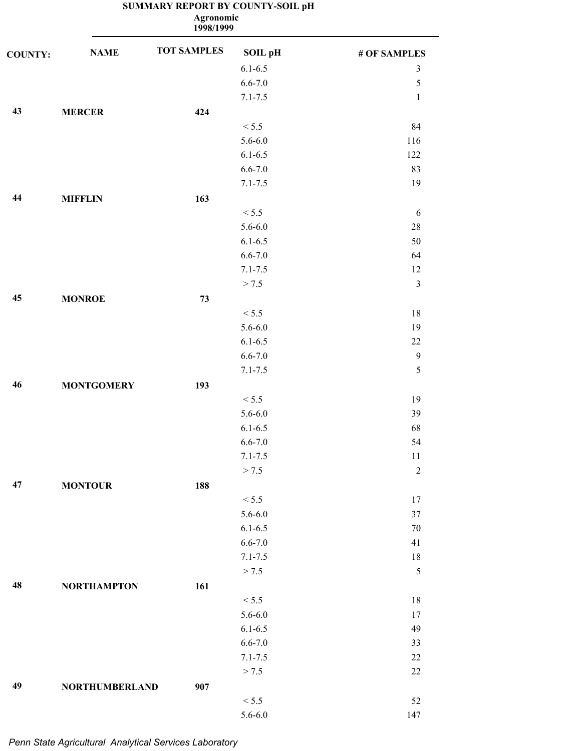|                |                       | Agronomic<br>1998/1999 |                |                |
|----------------|-----------------------|------------------------|----------------|----------------|
| <b>COUNTY:</b> | <b>NAME</b>           | <b>TOT SAMPLES</b>     | <b>SOIL pH</b> | # OF SAMPLES   |
|                |                       |                        | $6.1 - 6.5$    | $\mathfrak{Z}$ |
|                |                       |                        | $6.6 - 7.0$    | $\mathfrak s$  |
|                |                       |                        | $7.1 - 7.5$    | $\mathbf{1}$   |
| 43             | <b>MERCER</b>         | 424                    |                |                |
|                |                       |                        | < 5.5          | 84             |
|                |                       |                        | $5.6 - 6.0$    | 116            |
|                |                       |                        | $6.1 - 6.5$    | 122            |
|                |                       |                        | $6.6 - 7.0$    | 83             |
|                |                       |                        | $7.1 - 7.5$    | 19             |
| 44             | <b>MIFFLIN</b>        | 163                    |                |                |
|                |                       |                        | < 5.5          | 6              |
|                |                       |                        | $5.6 - 6.0$    | $28\,$         |
|                |                       |                        | $6.1 - 6.5$    | 50             |
|                |                       |                        | $6.6 - 7.0$    | 64             |
|                |                       |                        | $7.1 - 7.5$    | 12             |
|                |                       |                        | > 7.5          | $\mathfrak{Z}$ |
| 45             | <b>MONROE</b>         | 73                     |                |                |
|                |                       |                        | < 5.5          | 18             |
|                |                       |                        | $5.6 - 6.0$    | 19             |
|                |                       |                        | $6.1 - 6.5$    | $22\,$         |
|                |                       |                        | $6.6 - 7.0$    | $\overline{9}$ |
|                |                       |                        | $7.1 - 7.5$    | 5              |
| 46             | <b>MONTGOMERY</b>     | 193                    |                |                |
|                |                       |                        | < 5.5          | 19             |
|                |                       |                        | $5.6 - 6.0$    | 39             |
|                |                       |                        | $6.1 - 6.5$    | 68             |
|                |                       |                        | $6.6 - 7.0$    | 54             |
|                |                       |                        | $7.1 - 7.5$    | 11             |
|                |                       |                        | > 7.5          | $\sqrt{2}$     |
| 47             | <b>MONTOUR</b>        | 188                    |                |                |
|                |                       |                        | < 5.5          | 17             |
|                |                       |                        | $5.6 - 6.0$    | 37             |
|                |                       |                        | $6.1 - 6.5$    | $70\,$         |
|                |                       |                        | $6.6 - 7.0$    | 41             |
|                |                       |                        | $7.1 - 7.5$    | $18\,$         |
|                |                       |                        | > 7.5          | $\sqrt{5}$     |
| 48             | <b>NORTHAMPTON</b>    | 161                    |                |                |
|                |                       |                        | < 5.5          | 18             |
|                |                       |                        | $5.6 - 6.0$    | 17             |
|                |                       |                        | $6.1 - 6.5$    | 49             |
|                |                       |                        | $6.6 - 7.0$    | 33             |
|                |                       |                        | $7.1 - 7.5$    | 22             |
|                |                       |                        | > 7.5          | 22             |
| 49             | <b>NORTHUMBERLAND</b> | 907                    |                |                |

 $< 5.5$  52 5.6-6.0 147

# **SUMMARY REPORT BY COUNTY-SOIL pH**

*Penn State Agricultural Analytical Services Laboratory*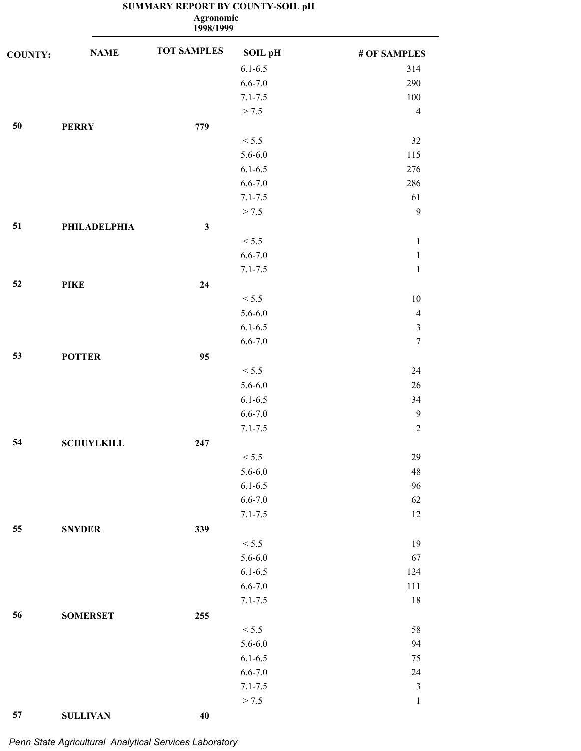**1998/1999 Agronomic**

| $6.1 - 6.5$<br>314<br>$6.6 - 7.0$<br>290<br>$7.1 - 7.5$<br>100<br>> 7.5<br>$\overline{4}$<br>50<br>779<br><b>PERRY</b><br>32<br>< 5.5<br>$5.6 - 6.0$<br>115<br>$6.1 - 6.5$<br>276<br>$6.6 - 7.0$<br>286<br>$7.1 - 7.5$<br>61<br>$\mathbf{9}$<br>> 7.5<br>51<br>$\mathbf{3}$<br><b>PHILADELPHIA</b><br>< 5.5<br>$\mathbf{1}$<br>$6.6 - 7.0$<br>$\mathbf{1}$<br>$7.1 - 7.5$<br>$\,1$<br>52<br>24<br><b>PIKE</b><br>< 5.5<br>10<br>$5.6 - 6.0$<br>$\overline{4}$<br>$6.1 - 6.5$<br>$\mathfrak{Z}$<br>$6.6 - 7.0$<br>$\boldsymbol{7}$<br>53<br><b>POTTER</b><br>95<br>< 5.5<br>24<br>$5.6 - 6.0$<br>26<br>$6.1 - 6.5$<br>34<br>$6.6 - 7.0$<br>$\overline{9}$<br>$7.1 - 7.5$<br>$\sqrt{2}$<br>54<br><b>SCHUYLKILL</b><br>247<br>< 5.5<br>29<br>$5.6 - 6.0$<br>$\sqrt{48}$<br>$6.1 - 6.5$<br>96<br>$6.6 - 7.0$<br>62<br>$7.1 - 7.5$<br>$12\,$<br>55<br>339<br><b>SNYDER</b><br>< 5.5<br>19<br>$5.6 - 6.0$<br>67<br>$6.1 - 6.5$<br>124<br>$6.6 - 7.0$<br>111<br>$7.1 - 7.5$<br>18<br>56<br><b>SOMERSET</b><br>255<br>< 5.5<br>58<br>$5.6 - 6.0$<br>94<br>$6.1 - 6.5$<br>75<br>$6.6 - 7.0$<br>24<br>$\mathfrak z$<br>$7.1 - 7.5$<br>> 7.5<br>$\,1\,$<br>57<br><b>SULLIVAN</b><br>40 | <b>COUNTY:</b> | <b>NAME</b> | <b>TOT SAMPLES</b> | SOIL pH | # OF SAMPLES |
|-----------------------------------------------------------------------------------------------------------------------------------------------------------------------------------------------------------------------------------------------------------------------------------------------------------------------------------------------------------------------------------------------------------------------------------------------------------------------------------------------------------------------------------------------------------------------------------------------------------------------------------------------------------------------------------------------------------------------------------------------------------------------------------------------------------------------------------------------------------------------------------------------------------------------------------------------------------------------------------------------------------------------------------------------------------------------------------------------------------------------------------------------------------------------------|----------------|-------------|--------------------|---------|--------------|
|                                                                                                                                                                                                                                                                                                                                                                                                                                                                                                                                                                                                                                                                                                                                                                                                                                                                                                                                                                                                                                                                                                                                                                             |                |             |                    |         |              |
|                                                                                                                                                                                                                                                                                                                                                                                                                                                                                                                                                                                                                                                                                                                                                                                                                                                                                                                                                                                                                                                                                                                                                                             |                |             |                    |         |              |
|                                                                                                                                                                                                                                                                                                                                                                                                                                                                                                                                                                                                                                                                                                                                                                                                                                                                                                                                                                                                                                                                                                                                                                             |                |             |                    |         |              |
|                                                                                                                                                                                                                                                                                                                                                                                                                                                                                                                                                                                                                                                                                                                                                                                                                                                                                                                                                                                                                                                                                                                                                                             |                |             |                    |         |              |
|                                                                                                                                                                                                                                                                                                                                                                                                                                                                                                                                                                                                                                                                                                                                                                                                                                                                                                                                                                                                                                                                                                                                                                             |                |             |                    |         |              |
|                                                                                                                                                                                                                                                                                                                                                                                                                                                                                                                                                                                                                                                                                                                                                                                                                                                                                                                                                                                                                                                                                                                                                                             |                |             |                    |         |              |
|                                                                                                                                                                                                                                                                                                                                                                                                                                                                                                                                                                                                                                                                                                                                                                                                                                                                                                                                                                                                                                                                                                                                                                             |                |             |                    |         |              |
|                                                                                                                                                                                                                                                                                                                                                                                                                                                                                                                                                                                                                                                                                                                                                                                                                                                                                                                                                                                                                                                                                                                                                                             |                |             |                    |         |              |
|                                                                                                                                                                                                                                                                                                                                                                                                                                                                                                                                                                                                                                                                                                                                                                                                                                                                                                                                                                                                                                                                                                                                                                             |                |             |                    |         |              |
|                                                                                                                                                                                                                                                                                                                                                                                                                                                                                                                                                                                                                                                                                                                                                                                                                                                                                                                                                                                                                                                                                                                                                                             |                |             |                    |         |              |
|                                                                                                                                                                                                                                                                                                                                                                                                                                                                                                                                                                                                                                                                                                                                                                                                                                                                                                                                                                                                                                                                                                                                                                             |                |             |                    |         |              |
|                                                                                                                                                                                                                                                                                                                                                                                                                                                                                                                                                                                                                                                                                                                                                                                                                                                                                                                                                                                                                                                                                                                                                                             |                |             |                    |         |              |
|                                                                                                                                                                                                                                                                                                                                                                                                                                                                                                                                                                                                                                                                                                                                                                                                                                                                                                                                                                                                                                                                                                                                                                             |                |             |                    |         |              |
|                                                                                                                                                                                                                                                                                                                                                                                                                                                                                                                                                                                                                                                                                                                                                                                                                                                                                                                                                                                                                                                                                                                                                                             |                |             |                    |         |              |
|                                                                                                                                                                                                                                                                                                                                                                                                                                                                                                                                                                                                                                                                                                                                                                                                                                                                                                                                                                                                                                                                                                                                                                             |                |             |                    |         |              |
|                                                                                                                                                                                                                                                                                                                                                                                                                                                                                                                                                                                                                                                                                                                                                                                                                                                                                                                                                                                                                                                                                                                                                                             |                |             |                    |         |              |
|                                                                                                                                                                                                                                                                                                                                                                                                                                                                                                                                                                                                                                                                                                                                                                                                                                                                                                                                                                                                                                                                                                                                                                             |                |             |                    |         |              |
|                                                                                                                                                                                                                                                                                                                                                                                                                                                                                                                                                                                                                                                                                                                                                                                                                                                                                                                                                                                                                                                                                                                                                                             |                |             |                    |         |              |
|                                                                                                                                                                                                                                                                                                                                                                                                                                                                                                                                                                                                                                                                                                                                                                                                                                                                                                                                                                                                                                                                                                                                                                             |                |             |                    |         |              |
|                                                                                                                                                                                                                                                                                                                                                                                                                                                                                                                                                                                                                                                                                                                                                                                                                                                                                                                                                                                                                                                                                                                                                                             |                |             |                    |         |              |
|                                                                                                                                                                                                                                                                                                                                                                                                                                                                                                                                                                                                                                                                                                                                                                                                                                                                                                                                                                                                                                                                                                                                                                             |                |             |                    |         |              |
|                                                                                                                                                                                                                                                                                                                                                                                                                                                                                                                                                                                                                                                                                                                                                                                                                                                                                                                                                                                                                                                                                                                                                                             |                |             |                    |         |              |
|                                                                                                                                                                                                                                                                                                                                                                                                                                                                                                                                                                                                                                                                                                                                                                                                                                                                                                                                                                                                                                                                                                                                                                             |                |             |                    |         |              |
|                                                                                                                                                                                                                                                                                                                                                                                                                                                                                                                                                                                                                                                                                                                                                                                                                                                                                                                                                                                                                                                                                                                                                                             |                |             |                    |         |              |
|                                                                                                                                                                                                                                                                                                                                                                                                                                                                                                                                                                                                                                                                                                                                                                                                                                                                                                                                                                                                                                                                                                                                                                             |                |             |                    |         |              |
|                                                                                                                                                                                                                                                                                                                                                                                                                                                                                                                                                                                                                                                                                                                                                                                                                                                                                                                                                                                                                                                                                                                                                                             |                |             |                    |         |              |
|                                                                                                                                                                                                                                                                                                                                                                                                                                                                                                                                                                                                                                                                                                                                                                                                                                                                                                                                                                                                                                                                                                                                                                             |                |             |                    |         |              |
|                                                                                                                                                                                                                                                                                                                                                                                                                                                                                                                                                                                                                                                                                                                                                                                                                                                                                                                                                                                                                                                                                                                                                                             |                |             |                    |         |              |
|                                                                                                                                                                                                                                                                                                                                                                                                                                                                                                                                                                                                                                                                                                                                                                                                                                                                                                                                                                                                                                                                                                                                                                             |                |             |                    |         |              |
|                                                                                                                                                                                                                                                                                                                                                                                                                                                                                                                                                                                                                                                                                                                                                                                                                                                                                                                                                                                                                                                                                                                                                                             |                |             |                    |         |              |
|                                                                                                                                                                                                                                                                                                                                                                                                                                                                                                                                                                                                                                                                                                                                                                                                                                                                                                                                                                                                                                                                                                                                                                             |                |             |                    |         |              |
|                                                                                                                                                                                                                                                                                                                                                                                                                                                                                                                                                                                                                                                                                                                                                                                                                                                                                                                                                                                                                                                                                                                                                                             |                |             |                    |         |              |
|                                                                                                                                                                                                                                                                                                                                                                                                                                                                                                                                                                                                                                                                                                                                                                                                                                                                                                                                                                                                                                                                                                                                                                             |                |             |                    |         |              |
|                                                                                                                                                                                                                                                                                                                                                                                                                                                                                                                                                                                                                                                                                                                                                                                                                                                                                                                                                                                                                                                                                                                                                                             |                |             |                    |         |              |
|                                                                                                                                                                                                                                                                                                                                                                                                                                                                                                                                                                                                                                                                                                                                                                                                                                                                                                                                                                                                                                                                                                                                                                             |                |             |                    |         |              |
|                                                                                                                                                                                                                                                                                                                                                                                                                                                                                                                                                                                                                                                                                                                                                                                                                                                                                                                                                                                                                                                                                                                                                                             |                |             |                    |         |              |
|                                                                                                                                                                                                                                                                                                                                                                                                                                                                                                                                                                                                                                                                                                                                                                                                                                                                                                                                                                                                                                                                                                                                                                             |                |             |                    |         |              |
|                                                                                                                                                                                                                                                                                                                                                                                                                                                                                                                                                                                                                                                                                                                                                                                                                                                                                                                                                                                                                                                                                                                                                                             |                |             |                    |         |              |
|                                                                                                                                                                                                                                                                                                                                                                                                                                                                                                                                                                                                                                                                                                                                                                                                                                                                                                                                                                                                                                                                                                                                                                             |                |             |                    |         |              |
|                                                                                                                                                                                                                                                                                                                                                                                                                                                                                                                                                                                                                                                                                                                                                                                                                                                                                                                                                                                                                                                                                                                                                                             |                |             |                    |         |              |
|                                                                                                                                                                                                                                                                                                                                                                                                                                                                                                                                                                                                                                                                                                                                                                                                                                                                                                                                                                                                                                                                                                                                                                             |                |             |                    |         |              |
|                                                                                                                                                                                                                                                                                                                                                                                                                                                                                                                                                                                                                                                                                                                                                                                                                                                                                                                                                                                                                                                                                                                                                                             |                |             |                    |         |              |
|                                                                                                                                                                                                                                                                                                                                                                                                                                                                                                                                                                                                                                                                                                                                                                                                                                                                                                                                                                                                                                                                                                                                                                             |                |             |                    |         |              |
|                                                                                                                                                                                                                                                                                                                                                                                                                                                                                                                                                                                                                                                                                                                                                                                                                                                                                                                                                                                                                                                                                                                                                                             |                |             |                    |         |              |
|                                                                                                                                                                                                                                                                                                                                                                                                                                                                                                                                                                                                                                                                                                                                                                                                                                                                                                                                                                                                                                                                                                                                                                             |                |             |                    |         |              |
|                                                                                                                                                                                                                                                                                                                                                                                                                                                                                                                                                                                                                                                                                                                                                                                                                                                                                                                                                                                                                                                                                                                                                                             |                |             |                    |         |              |

*Penn State Agricultural Analytical Services Laboratory*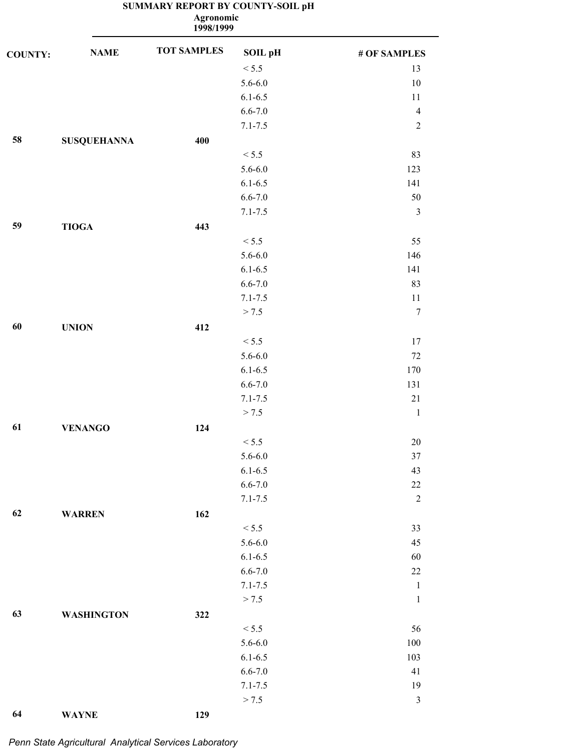**1998/1999 Agronomic**

| <b>COUNTY:</b> | <b>NAME</b>        | <b>TOT SAMPLES</b> | <b>SOIL pH</b> | # OF SAMPLES   |
|----------------|--------------------|--------------------|----------------|----------------|
|                |                    |                    | < 5.5          | 13             |
|                |                    |                    | $5.6 - 6.0$    | $10\,$         |
|                |                    |                    | $6.1 - 6.5$    | 11             |
|                |                    |                    | $6.6 - 7.0$    | $\overline{4}$ |
|                |                    |                    | $7.1 - 7.5$    | $\sqrt{2}$     |
| 58             | <b>SUSQUEHANNA</b> | 400                |                |                |
|                |                    |                    | < 5.5          | 83             |
|                |                    |                    | $5.6 - 6.0$    | 123            |
|                |                    |                    | $6.1 - 6.5$    | 141            |
|                |                    |                    | $6.6 - 7.0$    | $50\,$         |
|                |                    |                    | $7.1 - 7.5$    | $\mathfrak{Z}$ |
| 59             | <b>TIOGA</b>       | 443                |                |                |
|                |                    |                    | < 5.5          | 55             |
|                |                    |                    | $5.6 - 6.0$    | 146            |
|                |                    |                    | $6.1 - 6.5$    | 141            |
|                |                    |                    | $6.6 - 7.0$    | 83             |
|                |                    |                    | $7.1 - 7.5$    | 11             |
|                |                    |                    | > 7.5          | $\tau$         |
| 60             | <b>UNION</b>       | 412                |                |                |
|                |                    |                    | < 5.5          | 17             |
|                |                    |                    | $5.6 - 6.0$    | $72\,$         |
|                |                    |                    | $6.1 - 6.5$    | 170            |
|                |                    |                    | $6.6 - 7.0$    | 131            |
|                |                    |                    | $7.1 - 7.5$    | $21\,$         |
|                |                    |                    | > 7.5          | $\mathbf{1}$   |
| 61             | <b>VENANGO</b>     | 124                |                |                |
|                |                    |                    | < 5.5          | 20             |
|                |                    |                    | $5.6 - 6.0$    | $37\,$         |
|                |                    |                    | $6.1 - 6.5$    | 43             |
|                |                    |                    | $6.6 - 7.0$    | $22\,$         |
|                |                    |                    | $7.1 - 7.5$    | $\sqrt{2}$     |
| 62             | <b>WARREN</b>      | 162                |                |                |
|                |                    |                    | < 5.5          | 33             |
|                |                    |                    | $5.6 - 6.0$    | 45             |
|                |                    |                    | $6.1 - 6.5$    | 60             |
|                |                    |                    | $6.6 - 7.0$    | $22\,$         |
|                |                    |                    | $7.1 - 7.5$    | $\mathbf{1}$   |
|                |                    |                    | > 7.5          | $\mathbf{1}$   |
| 63             | <b>WASHINGTON</b>  | 322                |                |                |
|                |                    |                    | < 5.5          | 56             |
|                |                    |                    | $5.6 - 6.0$    | $100\,$        |
|                |                    |                    | $6.1 - 6.5$    | 103            |
|                |                    |                    | $6.6 - 7.0$    | 41             |
|                |                    |                    | $7.1 - 7.5$    | 19             |
|                |                    |                    | > 7.5          | $\mathfrak{Z}$ |
| 64             | <b>WAYNE</b>       | 129                |                |                |

*Penn State Agricultural Analytical Services Laboratory*